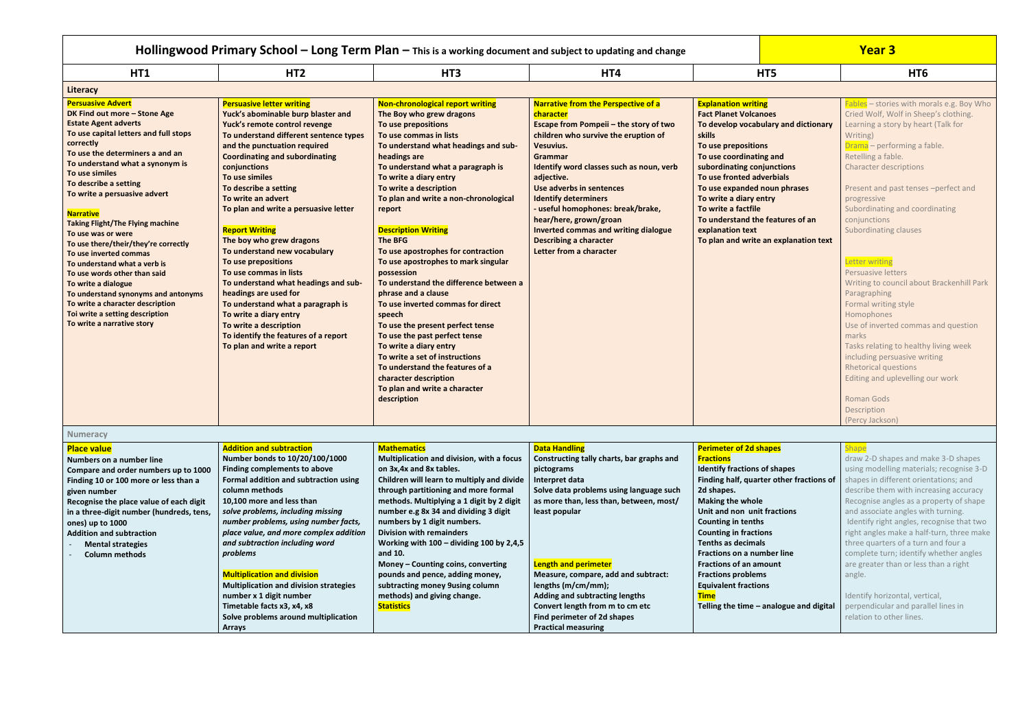|                                                                                                                                                                                                                                                                                                                                                                                                                                                                                                                                                                                                                                                                                          |                                                                                                                                                                                                                                                                                                                                                                                                                                                                                                                                                                                                                                                                                                                            |                                                                                                                                                                                                                                                                                                                                                                                                                                                                                                                                                                                                                                                                                                                                                                                                                           | Hollingwood Primary School $-$ Long Term Plan $-$ This is a working document and subject to updating and change                                                                                                                                                                                                                                                                                                                                                         |                                                                                                                                                                                                                                                                                                                                                                                                                                                                                                    | <b>Year 3</b>                                                                                                                                                                                                                                                                                                                                                                                                                                                                                                                                                                                                                                                                                                                                               |
|------------------------------------------------------------------------------------------------------------------------------------------------------------------------------------------------------------------------------------------------------------------------------------------------------------------------------------------------------------------------------------------------------------------------------------------------------------------------------------------------------------------------------------------------------------------------------------------------------------------------------------------------------------------------------------------|----------------------------------------------------------------------------------------------------------------------------------------------------------------------------------------------------------------------------------------------------------------------------------------------------------------------------------------------------------------------------------------------------------------------------------------------------------------------------------------------------------------------------------------------------------------------------------------------------------------------------------------------------------------------------------------------------------------------------|---------------------------------------------------------------------------------------------------------------------------------------------------------------------------------------------------------------------------------------------------------------------------------------------------------------------------------------------------------------------------------------------------------------------------------------------------------------------------------------------------------------------------------------------------------------------------------------------------------------------------------------------------------------------------------------------------------------------------------------------------------------------------------------------------------------------------|-------------------------------------------------------------------------------------------------------------------------------------------------------------------------------------------------------------------------------------------------------------------------------------------------------------------------------------------------------------------------------------------------------------------------------------------------------------------------|----------------------------------------------------------------------------------------------------------------------------------------------------------------------------------------------------------------------------------------------------------------------------------------------------------------------------------------------------------------------------------------------------------------------------------------------------------------------------------------------------|-------------------------------------------------------------------------------------------------------------------------------------------------------------------------------------------------------------------------------------------------------------------------------------------------------------------------------------------------------------------------------------------------------------------------------------------------------------------------------------------------------------------------------------------------------------------------------------------------------------------------------------------------------------------------------------------------------------------------------------------------------------|
| HT1                                                                                                                                                                                                                                                                                                                                                                                                                                                                                                                                                                                                                                                                                      | HT <sub>2</sub>                                                                                                                                                                                                                                                                                                                                                                                                                                                                                                                                                                                                                                                                                                            | HT <sub>3</sub>                                                                                                                                                                                                                                                                                                                                                                                                                                                                                                                                                                                                                                                                                                                                                                                                           | HT4                                                                                                                                                                                                                                                                                                                                                                                                                                                                     | HT5                                                                                                                                                                                                                                                                                                                                                                                                                                                                                                | HT <sub>6</sub>                                                                                                                                                                                                                                                                                                                                                                                                                                                                                                                                                                                                                                                                                                                                             |
| Literacy                                                                                                                                                                                                                                                                                                                                                                                                                                                                                                                                                                                                                                                                                 |                                                                                                                                                                                                                                                                                                                                                                                                                                                                                                                                                                                                                                                                                                                            |                                                                                                                                                                                                                                                                                                                                                                                                                                                                                                                                                                                                                                                                                                                                                                                                                           |                                                                                                                                                                                                                                                                                                                                                                                                                                                                         |                                                                                                                                                                                                                                                                                                                                                                                                                                                                                                    |                                                                                                                                                                                                                                                                                                                                                                                                                                                                                                                                                                                                                                                                                                                                                             |
| <b>Persuasive Advert</b><br>DK Find out more - Stone Age<br><b>Estate Agent adverts</b><br>To use capital letters and full stops<br>correctly<br>To use the determiners a and an<br>To understand what a synonym is<br>To use similes<br>To describe a setting<br>To write a persuasive advert<br><b>Narrative</b><br><b>Taking Flight/The Flying machine</b><br>To use was or were<br>To use there/their/they're correctly<br>To use inverted commas<br>To understand what a verb is<br>To use words other than said<br>To write a dialogue<br>To understand synonyms and antonyms<br>To write a character description<br>Toi write a setting description<br>To write a narrative story | <b>Persuasive letter writing</b><br>Yuck's abominable burp blaster and<br>Yuck's remote control revenge<br>To understand different sentence types<br>and the punctuation required<br><b>Coordinating and subordinating</b><br>conjunctions<br>To use similes<br>To describe a setting<br>To write an advert<br>To plan and write a persuasive letter<br><b>Report Writing</b><br>The boy who grew dragons<br>To understand new vocabulary<br>To use prepositions<br>To use commas in lists<br>To understand what headings and sub-<br>headings are used for<br>To understand what a paragraph is<br>To write a diary entry<br>To write a description<br>To identify the features of a report<br>To plan and write a report | <b>Non-chronological report writing</b><br>The Boy who grew dragons<br>To use prepositions<br>To use commas in lists<br>To understand what headings and sub-<br>headings are<br>To understand what a paragraph is<br>To write a diary entry<br>To write a description<br>To plan and write a non-chronological<br>report<br><b>Description Writing</b><br>The BFG<br>To use apostrophes for contraction<br>To use apostrophes to mark singular<br>possession<br>To understand the difference between a<br>phrase and a clause<br>To use inverted commas for direct<br>speech<br>To use the present perfect tense<br>To use the past perfect tense<br>To write a diary entry<br>To write a set of instructions<br>To understand the features of a<br>character description<br>To plan and write a character<br>description | Narrative from the Perspective of a<br>character<br>Escape from Pompeii - the story of two<br>children who survive the eruption of<br><b>Vesuvius.</b><br><b>Grammar</b><br>Identify word classes such as noun, verb<br>adjective.<br>Use adverbs in sentences<br><b>Identify determiners</b><br>- useful homophones: break/brake,<br>hear/here, grown/groan<br><b>Inverted commas and writing dialogue</b><br><b>Describing a character</b><br>Letter from a character | <b>Explanation writing</b><br><b>Fact Planet Volcanoes</b><br>To develop vocabulary and dictionary<br>skills<br>To use prepositions<br>To use coordinating and<br>subordinating conjunctions<br>To use fronted adverbials<br>To use expanded noun phrases<br>To write a diary entry<br>To write a factfile<br>To understand the features of an<br>explanation text<br>To plan and write an explanation text                                                                                        | Fables - stories with morals e.g. Boy Who<br>Cried Wolf, Wolf in Sheep's clothing.<br>Learning a story by heart (Talk for<br>Writing)<br>Drama - performing a fable.<br>Retelling a fable.<br><b>Character descriptions</b><br>Present and past tenses -perfect and<br>progressive<br>Subordinating and coordinating<br>conjunctions<br>Subordinating clauses<br><b>Letter writing</b><br>Persuasive letters<br>Writing to council about Brackenhill Park<br>Paragraphing<br>Formal writing style<br>Homophones<br>Use of inverted commas and question<br>marks<br>Tasks relating to healthy living week<br>including persuasive writing<br><b>Rhetorical questions</b><br>Editing and uplevelling our work<br>Roman Gods<br>Description<br>(Percy Jackson) |
| <b>Numeracy</b>                                                                                                                                                                                                                                                                                                                                                                                                                                                                                                                                                                                                                                                                          |                                                                                                                                                                                                                                                                                                                                                                                                                                                                                                                                                                                                                                                                                                                            |                                                                                                                                                                                                                                                                                                                                                                                                                                                                                                                                                                                                                                                                                                                                                                                                                           |                                                                                                                                                                                                                                                                                                                                                                                                                                                                         |                                                                                                                                                                                                                                                                                                                                                                                                                                                                                                    |                                                                                                                                                                                                                                                                                                                                                                                                                                                                                                                                                                                                                                                                                                                                                             |
| <b>Place value</b><br>Numbers on a number line<br>Compare and order numbers up to 1000<br>Finding 10 or 100 more or less than a<br>given number<br>Recognise the place value of each digit<br>in a three-digit number (hundreds, tens,<br>ones) up to 1000<br><b>Addition and subtraction</b><br><b>Mental strategies</b><br><b>Column methods</b>                                                                                                                                                                                                                                                                                                                                       | <b>Addition and subtraction</b><br>Number bonds to 10/20/100/1000<br>Finding complements to above<br>Formal addition and subtraction using<br>column methods<br>10,100 more and less than<br>solve problems, including missing<br>number problems, using number facts,<br>place value, and more complex addition<br>and subtraction including word<br>problems<br><b>Multiplication and division</b><br><b>Multiplication and division strategies</b><br>number x 1 digit number<br>Timetable facts x3, x4, x8<br>Solve problems around multiplication<br><b>Arrays</b>                                                                                                                                                    | <b>Mathematics</b><br>Multiplication and division, with a focus<br>on 3x, 4x and 8x tables.<br>Children will learn to multiply and divide<br>through partitioning and more formal<br>methods. Multiplying a 1 digit by 2 digit<br>number e.g 8x 34 and dividing 3 digit<br>numbers by 1 digit numbers.<br><b>Division with remainders</b><br>Working with $100 -$ dividing 100 by 2,4,5<br>and 10.<br>Money - Counting coins, converting<br>pounds and pence, adding money,<br>subtracting money 9using column<br>methods) and giving change.<br><b>Statistics</b>                                                                                                                                                                                                                                                        | <b>Data Handling</b><br>Constructing tally charts, bar graphs and<br>pictograms<br>Interpret data<br>Solve data problems using language such<br>as more than, less than, between, most/<br>least popular<br><b>Length and perimeter</b><br>Measure, compare, add and subtract:<br>lengths (m/cm/mm);<br><b>Adding and subtracting lengths</b><br>Convert length from m to cm etc<br>Find perimeter of 2d shapes<br><b>Practical measuring</b>                           | <b>Perimeter of 2d shapes</b><br><b>Fractions</b><br><b>Identify fractions of shapes</b><br>Finding half, quarter other fractions of<br>2d shapes.<br><b>Making the whole</b><br>Unit and non unit fractions<br><b>Counting in tenths</b><br><b>Counting in fractions</b><br><b>Tenths as decimals</b><br><b>Fractions on a number line</b><br><b>Fractions of an amount</b><br><b>Fractions problems</b><br><b>Equivalent fractions</b><br><b>Time</b><br>Telling the time - analogue and digital | Shape<br>draw 2-D shapes and make 3-D shapes<br>using modelling materials; recognise 3-D<br>shapes in different orientations; and<br>describe them with increasing accuracy<br>Recognise angles as a property of shape<br>and associate angles with turning.<br>Identify right angles, recognise that two<br>right angles make a half-turn, three make<br>three quarters of a turn and four a<br>complete turn; identify whether angles<br>are greater than or less than a right<br>angle.<br>Identify horizontal, vertical,<br>perpendicular and parallel lines in<br>relation to other lines.                                                                                                                                                             |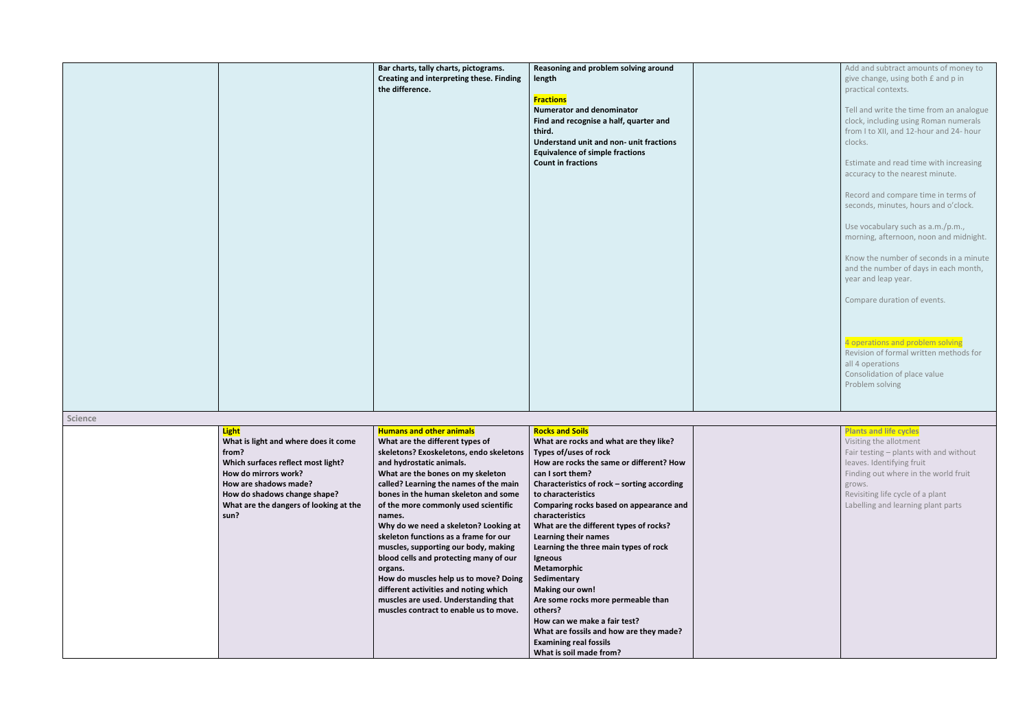|                |                                                                                                                                                                                                                                        | Bar charts, tally charts, pictograms.<br>Creating and interpreting these. Finding<br>the difference.                                                                                                                                                                                                                                                                                                                                                                                                                                                                                                                                                                  | Reasoning and problem solving around<br>length<br><b>Fractions</b><br><b>Numerator and denominator</b><br>Find and recognise a half, quarter and<br>third.<br>Understand unit and non- unit fractions<br><b>Equivalence of simple fractions</b><br><b>Count in fractions</b>                                                                                                                                                                                                                                                                                                                                                                                       |  |
|----------------|----------------------------------------------------------------------------------------------------------------------------------------------------------------------------------------------------------------------------------------|-----------------------------------------------------------------------------------------------------------------------------------------------------------------------------------------------------------------------------------------------------------------------------------------------------------------------------------------------------------------------------------------------------------------------------------------------------------------------------------------------------------------------------------------------------------------------------------------------------------------------------------------------------------------------|--------------------------------------------------------------------------------------------------------------------------------------------------------------------------------------------------------------------------------------------------------------------------------------------------------------------------------------------------------------------------------------------------------------------------------------------------------------------------------------------------------------------------------------------------------------------------------------------------------------------------------------------------------------------|--|
|                |                                                                                                                                                                                                                                        |                                                                                                                                                                                                                                                                                                                                                                                                                                                                                                                                                                                                                                                                       |                                                                                                                                                                                                                                                                                                                                                                                                                                                                                                                                                                                                                                                                    |  |
| <b>Science</b> |                                                                                                                                                                                                                                        |                                                                                                                                                                                                                                                                                                                                                                                                                                                                                                                                                                                                                                                                       |                                                                                                                                                                                                                                                                                                                                                                                                                                                                                                                                                                                                                                                                    |  |
|                | <b>Light</b><br>What is light and where does it come<br>from?<br>Which surfaces reflect most light?<br>How do mirrors work?<br>How are shadows made?<br>How do shadows change shape?<br>What are the dangers of looking at the<br>sun? | <b>Humans and other animals</b><br>What are the different types of<br>skeletons? Exoskeletons, endo skeletons<br>and hydrostatic animals.<br>What are the bones on my skeleton<br>called? Learning the names of the main<br>bones in the human skeleton and some<br>of the more commonly used scientific<br>names.<br>Why do we need a skeleton? Looking at<br>skeleton functions as a frame for our<br>muscles, supporting our body, making<br>blood cells and protecting many of our<br>organs.<br>How do muscles help us to move? Doing<br>different activities and noting which<br>muscles are used. Understanding that<br>muscles contract to enable us to move. | <b>Rocks and Soils</b><br>What are rocks and what are they like?<br>Types of/uses of rock<br>How are rocks the same or different? How<br>can I sort them?<br>Characteristics of rock - sorting according<br>to characteristics<br>Comparing rocks based on appearance and<br>characteristics<br>What are the different types of rocks?<br>Learning their names<br>Learning the three main types of rock<br>Igneous<br>Metamorphic<br>Sedimentary<br><b>Making our own!</b><br>Are some rocks more permeable than<br>others?<br>How can we make a fair test?<br>What are fossils and how are they made?<br><b>Examining real fossils</b><br>What is soil made from? |  |

| Add and subtract amounts of money to<br>give change, using both £ and p in<br>practical contexts.                                       |
|-----------------------------------------------------------------------------------------------------------------------------------------|
| Tell and write the time from an analogue<br>clock, including using Roman numerals<br>from I to XII, and 12-hour and 24- hour<br>clocks. |
| Estimate and read time with increasing<br>accuracy to the nearest minute.                                                               |
| Record and compare time in terms of<br>seconds, minutes, hours and o'clock.                                                             |
| Use vocabulary such as a.m./p.m.,<br>morning, afternoon, noon and midnight.                                                             |
| Know the number of seconds in a minute<br>and the number of days in each month,<br>year and leap year.                                  |
| Compare duration of events.                                                                                                             |
|                                                                                                                                         |
| 4 operations and problem solving<br>Revision of formal written methods for<br>all 4 operations                                          |
| Consolidation of place value<br>Problem solving                                                                                         |
|                                                                                                                                         |
| <b>Plants and life cycles</b>                                                                                                           |
| Visiting the allotment                                                                                                                  |
| Fair testing - plants with and without                                                                                                  |

leaves. Identifying fruit

Finding out where in the world fruit

grows.

Revisiting life cycle of a plant Labelling and learning plant parts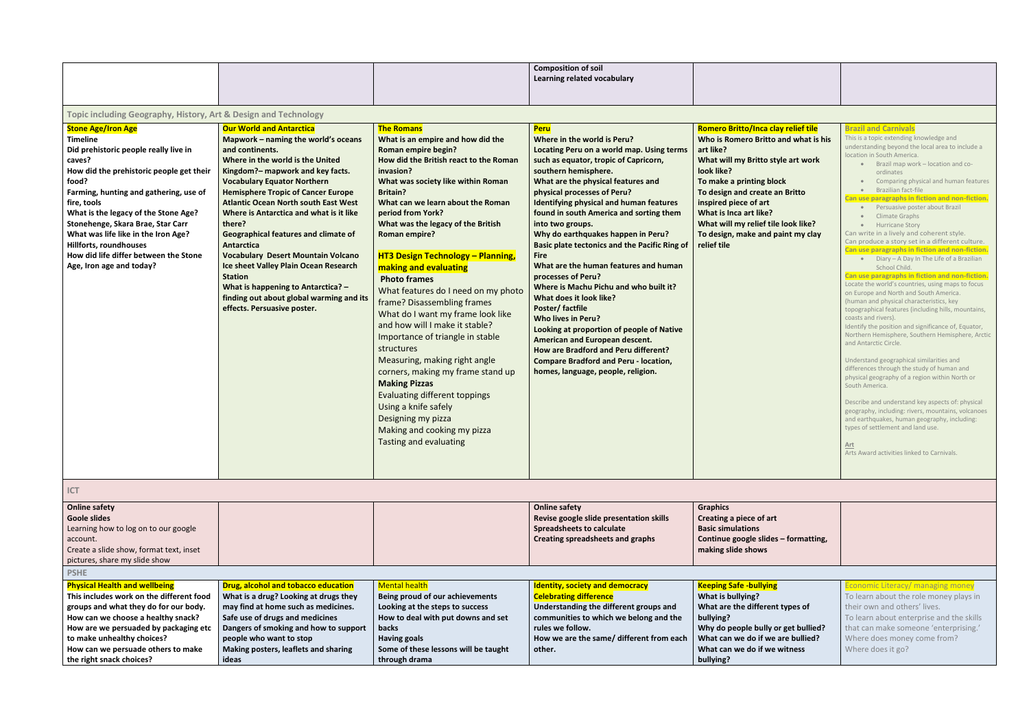|                                                                                                                                                                                                                                                                                                                                                                                                                                  |                                                                                                                                                                                                                                                                                                                                                                                                                                                                                                                                                                                                                                                       |                                                                                                                                                                                                                                                                                                                                                                                                                                                                                                                                                                                                                                                                                                                                                                                                                                                                             | <b>Composition of soil</b><br>Learning related vocabulary                                                                                                                                                                                                                                                                                                                                                                                                                                                                                                                                                                                                                                                                                                                                                                                             |                                                                                                                                                                                                                                                                                                                                                          |                                                                                                                                                                                                                                                                                                                                                                                                                                                                                                                                                                                                                                                                                                                                                                                                                                                                                                                                                                                                                                                                                                                                                                                                                                                                                                                                                                                                                                                                                   |
|----------------------------------------------------------------------------------------------------------------------------------------------------------------------------------------------------------------------------------------------------------------------------------------------------------------------------------------------------------------------------------------------------------------------------------|-------------------------------------------------------------------------------------------------------------------------------------------------------------------------------------------------------------------------------------------------------------------------------------------------------------------------------------------------------------------------------------------------------------------------------------------------------------------------------------------------------------------------------------------------------------------------------------------------------------------------------------------------------|-----------------------------------------------------------------------------------------------------------------------------------------------------------------------------------------------------------------------------------------------------------------------------------------------------------------------------------------------------------------------------------------------------------------------------------------------------------------------------------------------------------------------------------------------------------------------------------------------------------------------------------------------------------------------------------------------------------------------------------------------------------------------------------------------------------------------------------------------------------------------------|-------------------------------------------------------------------------------------------------------------------------------------------------------------------------------------------------------------------------------------------------------------------------------------------------------------------------------------------------------------------------------------------------------------------------------------------------------------------------------------------------------------------------------------------------------------------------------------------------------------------------------------------------------------------------------------------------------------------------------------------------------------------------------------------------------------------------------------------------------|----------------------------------------------------------------------------------------------------------------------------------------------------------------------------------------------------------------------------------------------------------------------------------------------------------------------------------------------------------|-----------------------------------------------------------------------------------------------------------------------------------------------------------------------------------------------------------------------------------------------------------------------------------------------------------------------------------------------------------------------------------------------------------------------------------------------------------------------------------------------------------------------------------------------------------------------------------------------------------------------------------------------------------------------------------------------------------------------------------------------------------------------------------------------------------------------------------------------------------------------------------------------------------------------------------------------------------------------------------------------------------------------------------------------------------------------------------------------------------------------------------------------------------------------------------------------------------------------------------------------------------------------------------------------------------------------------------------------------------------------------------------------------------------------------------------------------------------------------------|
|                                                                                                                                                                                                                                                                                                                                                                                                                                  |                                                                                                                                                                                                                                                                                                                                                                                                                                                                                                                                                                                                                                                       |                                                                                                                                                                                                                                                                                                                                                                                                                                                                                                                                                                                                                                                                                                                                                                                                                                                                             |                                                                                                                                                                                                                                                                                                                                                                                                                                                                                                                                                                                                                                                                                                                                                                                                                                                       |                                                                                                                                                                                                                                                                                                                                                          |                                                                                                                                                                                                                                                                                                                                                                                                                                                                                                                                                                                                                                                                                                                                                                                                                                                                                                                                                                                                                                                                                                                                                                                                                                                                                                                                                                                                                                                                                   |
| Topic including Geography, History, Art & Design and Technology                                                                                                                                                                                                                                                                                                                                                                  |                                                                                                                                                                                                                                                                                                                                                                                                                                                                                                                                                                                                                                                       |                                                                                                                                                                                                                                                                                                                                                                                                                                                                                                                                                                                                                                                                                                                                                                                                                                                                             |                                                                                                                                                                                                                                                                                                                                                                                                                                                                                                                                                                                                                                                                                                                                                                                                                                                       |                                                                                                                                                                                                                                                                                                                                                          |                                                                                                                                                                                                                                                                                                                                                                                                                                                                                                                                                                                                                                                                                                                                                                                                                                                                                                                                                                                                                                                                                                                                                                                                                                                                                                                                                                                                                                                                                   |
| <b>Stone Age/Iron Age</b><br><b>Timeline</b><br>Did prehistoric people really live in<br>caves?<br>How did the prehistoric people get their<br>food?<br>Farming, hunting and gathering, use of<br>fire, tools<br>What is the legacy of the Stone Age?<br>Stonehenge, Skara Brae, Star Carr<br>What was life like in the Iron Age?<br>Hillforts, roundhouses<br>How did life differ between the Stone<br>Age, Iron age and today? | <b>Our World and Antarctica</b><br>Mapwork - naming the world's oceans<br>and continents.<br>Where in the world is the United<br>Kingdom?- mapwork and key facts.<br><b>Vocabulary Equator Northern</b><br><b>Hemisphere Tropic of Cancer Europe</b><br><b>Atlantic Ocean North south East West</b><br>Where is Antarctica and what is it like<br>there?<br><b>Geographical features and climate of</b><br><b>Antarctica</b><br><b>Vocabulary Desert Mountain Volcano</b><br>Ice sheet Valley Plain Ocean Research<br><b>Station</b><br>What is happening to Antarctica? -<br>finding out about global warming and its<br>effects. Persuasive poster. | <b>The Romans</b><br>What is an empire and how did the<br><b>Roman empire begin?</b><br>How did the British react to the Roman<br>invasion?<br>What was society like within Roman<br><b>Britain?</b><br>What can we learn about the Roman<br>period from York?<br>What was the legacy of the British<br><b>Roman empire?</b><br><b>HT3 Design Technology - Planning,</b><br>making and evaluating<br><b>Photo frames</b><br>What features do I need on my photo<br>frame? Disassembling frames<br>What do I want my frame look like<br>and how will I make it stable?<br>Importance of triangle in stable<br>structures<br>Measuring, making right angle<br>corners, making my frame stand up<br><b>Making Pizzas</b><br><b>Evaluating different toppings</b><br>Using a knife safely<br>Designing my pizza<br>Making and cooking my pizza<br><b>Tasting and evaluating</b> | Peru<br>Where in the world is Peru?<br>Locating Peru on a world map. Using terms<br>such as equator, tropic of Capricorn,<br>southern hemisphere.<br>What are the physical features and<br>physical processes of Peru?<br><b>Identifying physical and human features</b><br>found in south America and sorting them<br>into two groups.<br>Why do earthquakes happen in Peru?<br><b>Basic plate tectonics and the Pacific Ring of</b><br><b>Fire</b><br>What are the human features and human<br>processes of Peru?<br>Where is Machu Pichu and who built it?<br>What does it look like?<br>Poster/factfile<br><b>Who lives in Peru?</b><br>Looking at proportion of people of Native<br>American and European descent.<br>How are Bradford and Peru different?<br><b>Compare Bradford and Peru - location,</b><br>homes, language, people, religion. | Romero Britto/Inca clay relief tile<br>Who is Romero Britto and what is his<br>art like?<br>What will my Britto style art work<br>look like?<br>To make a printing block<br>To design and create an Britto<br>inspired piece of art<br>What is Inca art like?<br>What will my relief tile look like?<br>To design, make and paint my clay<br>relief tile | <b>Brazil and Carnivals</b><br>This is a topic extending knowledge and<br>understanding beyond the local area to include a<br>location in South America.<br>Brazil map work – location and co-<br>ordinates<br>Comparing physical and human features<br>Brazilian fact-file<br>Can use paragraphs in fiction and non-fiction.<br>Persuasive poster about Brazil<br><b>Climate Graphs</b><br><b>Hurricane Story</b><br>$\bullet$<br>Can write in a lively and coherent style.<br>Can produce a story set in a different culture.<br>Can use paragraphs in fiction and non-fiction.<br>• Diary - A Day In The Life of a Brazilian<br>School Child.<br>Can use paragraphs in fiction and non-fiction.<br>Locate the world's countries, using maps to focus<br>on Europe and North and South America.<br>(human and physical characteristics, key<br>topographical features (including hills, mountains,<br>coasts and rivers).<br>Identify the position and significance of, Equator,<br>Northern Hemisphere, Southern Hemisphere, Arctic<br>and Antarctic Circle.<br>Understand geographical similarities and<br>differences through the study of human and<br>physical geography of a region within North or<br>South America.<br>Describe and understand key aspects of: physical<br>geography, including: rivers, mountains, volcanoes<br>and earthquakes, human geography, including:<br>types of settlement and land use.<br>Art<br>Arts Award activities linked to Carnivals. |
| ICT                                                                                                                                                                                                                                                                                                                                                                                                                              |                                                                                                                                                                                                                                                                                                                                                                                                                                                                                                                                                                                                                                                       |                                                                                                                                                                                                                                                                                                                                                                                                                                                                                                                                                                                                                                                                                                                                                                                                                                                                             |                                                                                                                                                                                                                                                                                                                                                                                                                                                                                                                                                                                                                                                                                                                                                                                                                                                       |                                                                                                                                                                                                                                                                                                                                                          |                                                                                                                                                                                                                                                                                                                                                                                                                                                                                                                                                                                                                                                                                                                                                                                                                                                                                                                                                                                                                                                                                                                                                                                                                                                                                                                                                                                                                                                                                   |
| <b>Online safety</b><br><b>Goole slides</b><br>Learning how to log on to our google<br>account.<br>Create a slide show, format text, inset<br>pictures, share my slide show<br><b>PSHE</b>                                                                                                                                                                                                                                       |                                                                                                                                                                                                                                                                                                                                                                                                                                                                                                                                                                                                                                                       |                                                                                                                                                                                                                                                                                                                                                                                                                                                                                                                                                                                                                                                                                                                                                                                                                                                                             | <b>Online safety</b><br>Revise google slide presentation skills<br><b>Spreadsheets to calculate</b><br><b>Creating spreadsheets and graphs</b>                                                                                                                                                                                                                                                                                                                                                                                                                                                                                                                                                                                                                                                                                                        | <b>Graphics</b><br>Creating a piece of art<br><b>Basic simulations</b><br>Continue google slides - formatting,<br>making slide shows                                                                                                                                                                                                                     |                                                                                                                                                                                                                                                                                                                                                                                                                                                                                                                                                                                                                                                                                                                                                                                                                                                                                                                                                                                                                                                                                                                                                                                                                                                                                                                                                                                                                                                                                   |
|                                                                                                                                                                                                                                                                                                                                                                                                                                  |                                                                                                                                                                                                                                                                                                                                                                                                                                                                                                                                                                                                                                                       |                                                                                                                                                                                                                                                                                                                                                                                                                                                                                                                                                                                                                                                                                                                                                                                                                                                                             |                                                                                                                                                                                                                                                                                                                                                                                                                                                                                                                                                                                                                                                                                                                                                                                                                                                       |                                                                                                                                                                                                                                                                                                                                                          |                                                                                                                                                                                                                                                                                                                                                                                                                                                                                                                                                                                                                                                                                                                                                                                                                                                                                                                                                                                                                                                                                                                                                                                                                                                                                                                                                                                                                                                                                   |
| <b>Physical Health and wellbeing</b><br>This includes work on the different food<br>groups and what they do for our body.<br>How can we choose a healthy snack?<br>How are we persuaded by packaging etc<br>to make unhealthy choices?<br>How can we persuade others to make<br>the right snack choices?                                                                                                                         | <b>Drug, alcohol and tobacco education</b><br>What is a drug? Looking at drugs they<br>may find at home such as medicines.<br>Safe use of drugs and medicines<br>Dangers of smoking and how to support<br>people who want to stop<br>Making posters, leaflets and sharing<br>ideas                                                                                                                                                                                                                                                                                                                                                                    | <b>Mental health</b><br><b>Being proud of our achievements</b><br>Looking at the steps to success<br>How to deal with put downs and set<br>backs<br><b>Having goals</b><br>Some of these lessons will be taught<br>through drama                                                                                                                                                                                                                                                                                                                                                                                                                                                                                                                                                                                                                                            | <b>Identity, society and democracy</b><br><b>Celebrating difference</b><br>Understanding the different groups and<br>communities to which we belong and the<br>rules we follow.<br>How we are the same/ different from each<br>other.                                                                                                                                                                                                                                                                                                                                                                                                                                                                                                                                                                                                                 | <b>Keeping Safe -bullying</b><br>What is bullying?<br>What are the different types of<br>bullying?<br>Why do people bully or get bullied?<br>What can we do if we are bullied?<br>What can we do if we witness<br>bullying?                                                                                                                              | Economic Literacy/ managing money<br>To learn about the role money plays in<br>their own and others' lives.<br>To learn about enterprise and the skills<br>that can make someone 'enterprising.'<br>Where does money come from?<br>Where does it go?                                                                                                                                                                                                                                                                                                                                                                                                                                                                                                                                                                                                                                                                                                                                                                                                                                                                                                                                                                                                                                                                                                                                                                                                                              |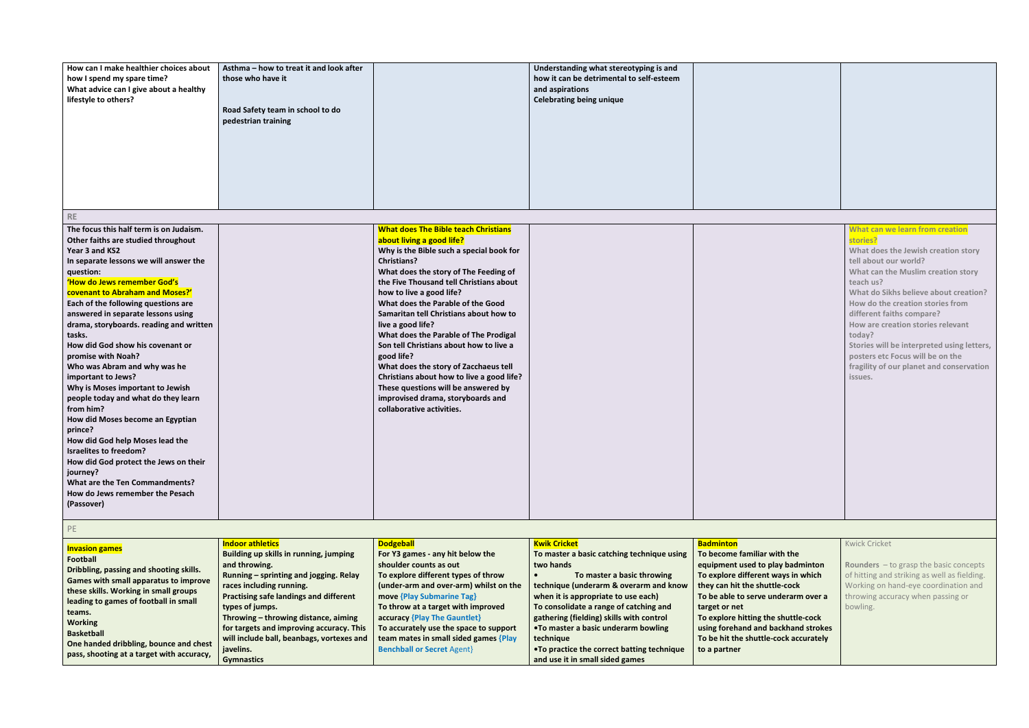| What can we learn from creation<br>stories?<br>What does the Jewish creation story<br>tell about our world?<br>What can the Muslim creation story<br>teach us?<br>What do Sikhs believe about creation?<br>How do the creation stories from<br>different faiths compare?<br>How are creation stories relevant<br>today?<br>Stories will be interpreted using letters,<br>posters etc Focus will be on the<br>fragility of our planet and conservation<br>issues. |
|------------------------------------------------------------------------------------------------------------------------------------------------------------------------------------------------------------------------------------------------------------------------------------------------------------------------------------------------------------------------------------------------------------------------------------------------------------------|

| How can I make healthier choices about<br>how I spend my spare time?<br>What advice can I give about a healthy<br>lifestyle to others?                                                                                                                                                                                                                                                                                                                                                                                                                                                                                                                                                                                                                                                                                                | Asthma - how to treat it and look after<br>those who have it<br>Road Safety team in school to do<br>pedestrian training |                                                                                                                                                                                                                                                                                                                                                                                                                                                                                                                                                                                                                                                                 | Understanding what stereotyping is and<br>how it can be detrimental to self-esteem<br>and aspirations<br><b>Celebrating being unique</b> |  |
|---------------------------------------------------------------------------------------------------------------------------------------------------------------------------------------------------------------------------------------------------------------------------------------------------------------------------------------------------------------------------------------------------------------------------------------------------------------------------------------------------------------------------------------------------------------------------------------------------------------------------------------------------------------------------------------------------------------------------------------------------------------------------------------------------------------------------------------|-------------------------------------------------------------------------------------------------------------------------|-----------------------------------------------------------------------------------------------------------------------------------------------------------------------------------------------------------------------------------------------------------------------------------------------------------------------------------------------------------------------------------------------------------------------------------------------------------------------------------------------------------------------------------------------------------------------------------------------------------------------------------------------------------------|------------------------------------------------------------------------------------------------------------------------------------------|--|
| <b>RE</b>                                                                                                                                                                                                                                                                                                                                                                                                                                                                                                                                                                                                                                                                                                                                                                                                                             |                                                                                                                         |                                                                                                                                                                                                                                                                                                                                                                                                                                                                                                                                                                                                                                                                 |                                                                                                                                          |  |
| The focus this half term is on Judaism.<br>Other faiths are studied throughout<br>Year 3 and KS2<br>In separate lessons we will answer the<br>question:<br>'How do Jews remember God's<br>covenant to Abraham and Moses?'<br>Each of the following questions are<br>answered in separate lessons using<br>drama, storyboards. reading and written<br>tasks.<br>How did God show his covenant or<br>promise with Noah?<br>Who was Abram and why was he<br>important to Jews?<br>Why is Moses important to Jewish<br>people today and what do they learn<br>from him?<br>How did Moses become an Egyptian<br>prince?<br>How did God help Moses lead the<br><b>Israelites to freedom?</b><br>How did God protect the Jews on their<br>journey?<br><b>What are the Ten Commandments?</b><br>How do Jews remember the Pesach<br>(Passover) |                                                                                                                         | <b>What does The Bible teach Christians</b><br>about living a good life?<br>Why is the Bible such a special book for<br><b>Christians?</b><br>What does the story of The Feeding of<br>the Five Thousand tell Christians about<br>how to live a good life?<br>What does the Parable of the Good<br>Samaritan tell Christians about how to<br>live a good life?<br>What does the Parable of The Prodigal<br>Son tell Christians about how to live a<br>good life?<br>What does the story of Zacchaeus tell<br>Christians about how to live a good life?<br>These questions will be answered by<br>improvised drama, storyboards and<br>collaborative activities. |                                                                                                                                          |  |
| PE                                                                                                                                                                                                                                                                                                                                                                                                                                                                                                                                                                                                                                                                                                                                                                                                                                    |                                                                                                                         |                                                                                                                                                                                                                                                                                                                                                                                                                                                                                                                                                                                                                                                                 |                                                                                                                                          |  |

| <b>Invasion games</b>                     | <b>Indoor athletics</b>                       | <b>Dodgeball</b>                       | <b>Kwik Cricket</b>                         | <b>Badminton</b>                      | <b>Kwick Cricket</b>                            |
|-------------------------------------------|-----------------------------------------------|----------------------------------------|---------------------------------------------|---------------------------------------|-------------------------------------------------|
| <b>Football</b>                           | Building up skills in running, jumping        | For Y3 games - any hit below the       | To master a basic catching technique using  | To become familiar with the           |                                                 |
|                                           | and throwing.                                 | shoulder counts as out                 | two hands                                   | equipment used to play badminton      | <b>Rounders</b> $-$ to grasp the basic concepts |
| Dribbling, passing and shooting skills.   | Running - sprinting and jogging. Relay        | To explore different types of throw    | To master a basic throwing                  | To explore different ways in which    | of hitting and striking as well as fielding.    |
| Games with small apparatus to improve     | races including running.                      | (under-arm and over-arm) whilst on the | technique (underarm & overarm and know      | they can hit the shuttle-cock         | Working on hand-eye coordination and            |
| these skills. Working in small groups     | <b>Practising safe landings and different</b> | move {Play Submarine Tag}              | when it is appropriate to use each)         | To be able to serve underarm over a   | throwing accuracy when passing or               |
| leading to games of football in small     | types of jumps.                               | To throw at a target with improved     | To consolidate a range of catching and      | target or net                         | bowling.                                        |
| teams.                                    | Throwing - throwing distance, aiming          | accuracy {Play The Gauntlet}           | gathering (fielding) skills with control    | To explore hitting the shuttle-cock   |                                                 |
| <b>Working</b>                            | for targets and improving accuracy. This      | To accurately use the space to support | . To master a basic underarm bowling        | using forehand and backhand strokes   |                                                 |
| <b>Basketball</b>                         | will include ball, beanbags, vortexes and     | team mates in small sided games {Play  | technique                                   | To be hit the shuttle-cock accurately |                                                 |
| One handed dribbling, bounce and chest    | javelins.                                     | <b>Benchball or Secret Agent}</b>      | . To practice the correct batting technique | to a partner                          |                                                 |
| pass, shooting at a target with accuracy, | <b>Gymnastics</b>                             |                                        | and use it in small sided games             |                                       |                                                 |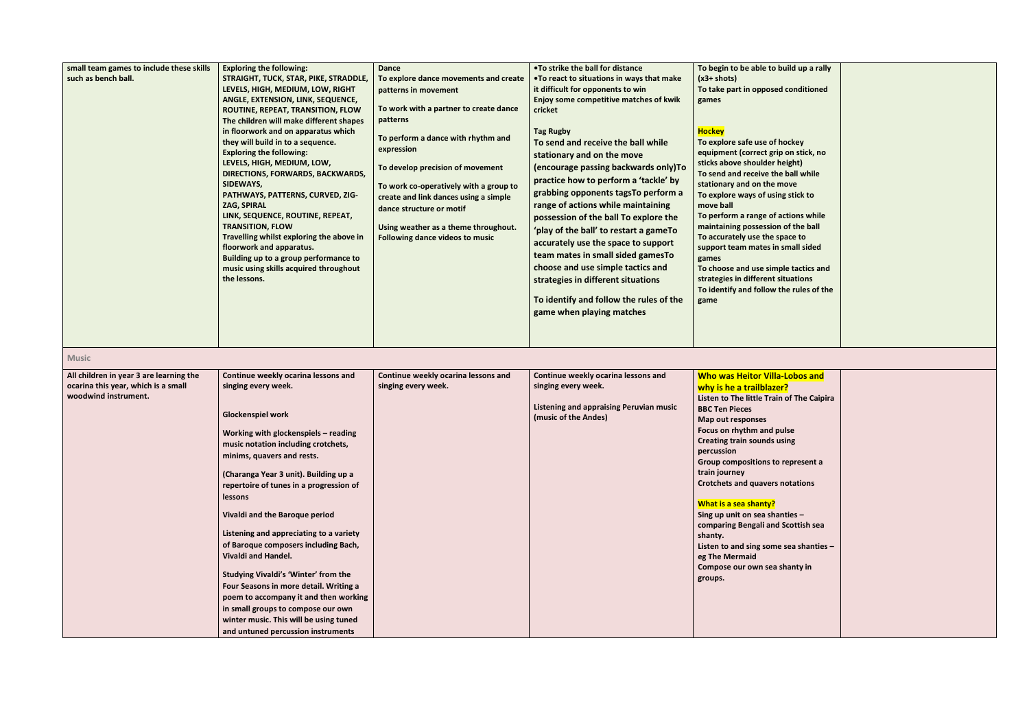| small team games to include these skills<br>such as bench ball.                                        | <b>Exploring the following:</b><br>STRAIGHT, TUCK, STAR, PIKE, STRADDLE,<br>LEVELS, HIGH, MEDIUM, LOW, RIGHT<br>ANGLE, EXTENSION, LINK, SEQUENCE,<br>ROUTINE, REPEAT, TRANSITION, FLOW<br>The children will make different shapes<br>in floorwork and on apparatus which<br>they will build in to a sequence.<br><b>Exploring the following:</b><br>LEVELS, HIGH, MEDIUM, LOW,<br>DIRECTIONS, FORWARDS, BACKWARDS,<br>SIDEWAYS,<br>PATHWAYS, PATTERNS, CURVED, ZIG-<br>ZAG, SPIRAL<br>LINK, SEQUENCE, ROUTINE, REPEAT,<br><b>TRANSITION, FLOW</b><br>Travelling whilst exploring the above in<br>floorwork and apparatus.<br>Building up to a group performance to<br>music using skills acquired throughout<br>the lessons. | <b>Dance</b><br>To explore dance movements and create<br>patterns in movement<br>To work with a partner to create dance<br>patterns<br>To perform a dance with rhythm and<br>expression<br>To develop precision of movement<br>To work co-operatively with a group to<br>create and link dances using a simple<br>dance structure or motif<br>Using weather as a theme throughout.<br>Following dance videos to music | .To strike the ball for distance<br>.To react to situations in ways that make<br>it difficult for opponents to win<br>Enjoy some competitive matches of kwik<br>cricket<br><b>Tag Rugby</b><br>To send and receive the ball while<br>stationary and on the move<br>(encourage passing backwards only)To<br>practice how to perform a 'tackle' by<br>grabbing opponents tagsTo perform a<br>range of actions while maintaining<br>possession of the ball To explore the<br>'play of the ball' to restart a gameTo<br>accurately use the space to support<br>team mates in small sided gamesTo<br>choose and use simple tactics and<br>strategies in different situations<br>To identify and follow the rules of the<br>game when playing matches | To begin to be able to build up a rally<br>$(x3 + shots)$<br>To take part in opposed conditioned<br>games<br><b>Hockey</b><br>To explore safe use of hockey<br>equipment (correct grip on stick, no<br>sticks above shoulder height)<br>To send and receive the ball while<br>stationary and on the move<br>To explore ways of using stick to<br>move ball<br>To perform a range of actions while<br>maintaining possession of the ball<br>To accurately use the space to<br>support team mates in small sided<br>games<br>To choose and use simple tactics and<br>strategies in different situations<br>To identify and follow the rules of the<br>game |  |
|--------------------------------------------------------------------------------------------------------|------------------------------------------------------------------------------------------------------------------------------------------------------------------------------------------------------------------------------------------------------------------------------------------------------------------------------------------------------------------------------------------------------------------------------------------------------------------------------------------------------------------------------------------------------------------------------------------------------------------------------------------------------------------------------------------------------------------------------|-----------------------------------------------------------------------------------------------------------------------------------------------------------------------------------------------------------------------------------------------------------------------------------------------------------------------------------------------------------------------------------------------------------------------|-------------------------------------------------------------------------------------------------------------------------------------------------------------------------------------------------------------------------------------------------------------------------------------------------------------------------------------------------------------------------------------------------------------------------------------------------------------------------------------------------------------------------------------------------------------------------------------------------------------------------------------------------------------------------------------------------------------------------------------------------|----------------------------------------------------------------------------------------------------------------------------------------------------------------------------------------------------------------------------------------------------------------------------------------------------------------------------------------------------------------------------------------------------------------------------------------------------------------------------------------------------------------------------------------------------------------------------------------------------------------------------------------------------------|--|
| <b>Music</b>                                                                                           |                                                                                                                                                                                                                                                                                                                                                                                                                                                                                                                                                                                                                                                                                                                              |                                                                                                                                                                                                                                                                                                                                                                                                                       |                                                                                                                                                                                                                                                                                                                                                                                                                                                                                                                                                                                                                                                                                                                                                 |                                                                                                                                                                                                                                                                                                                                                                                                                                                                                                                                                                                                                                                          |  |
| All children in year 3 are learning the<br>ocarina this year, which is a small<br>woodwind instrument. | Continue weekly ocarina lessons and<br>singing every week.<br><b>Glockenspiel work</b><br>Working with glockenspiels - reading<br>music notation including crotchets,<br>minims, quavers and rests.<br>(Charanga Year 3 unit). Building up a<br>repertoire of tunes in a progression of<br><b>lessons</b><br>Vivaldi and the Baroque period<br>Listening and appreciating to a variety<br>of Baroque composers including Bach,<br>Vivaldi and Handel.<br>Studying Vivaldi's 'Winter' from the<br>Four Seasons in more detail. Writing a<br>poem to accompany it and then working<br>in small groups to compose our own<br>winter music. This will be using tuned<br>and untuned percussion instruments                       | Continue weekly ocarina lessons and<br>singing every week.                                                                                                                                                                                                                                                                                                                                                            | Continue weekly ocarina lessons and<br>singing every week.<br><b>Listening and appraising Peruvian music</b><br>(music of the Andes)                                                                                                                                                                                                                                                                                                                                                                                                                                                                                                                                                                                                            | <b>Who was Heitor Villa-Lobos and</b><br>why is he a trailblazer?<br>Listen to The little Train of The Caipira<br><b>BBC Ten Pieces</b><br>Map out responses<br>Focus on rhythm and pulse<br><b>Creating train sounds using</b><br>percussion<br>Group compositions to represent a<br>train journey<br><b>Crotchets and quavers notations</b><br>What is a sea shanty?<br>Sing up unit on sea shanties -<br>comparing Bengali and Scottish sea<br>shanty.<br>Listen to and sing some sea shanties -<br>eg The Mermaid<br>Compose our own sea shanty in<br>groups.                                                                                        |  |

| build up a rally |  |
|------------------|--|
| d conditioned    |  |
|                  |  |
|                  |  |
| hockey           |  |
| ip on stick, no  |  |
| height)          |  |
| e ball while     |  |
| move             |  |
| ing stick to     |  |
| actions while    |  |
| n of the ball    |  |
| space to         |  |
| small sided      |  |
| ple tactics and  |  |
| situations       |  |
| the rules of the |  |
|                  |  |
|                  |  |
|                  |  |
|                  |  |
|                  |  |
|                  |  |
|                  |  |